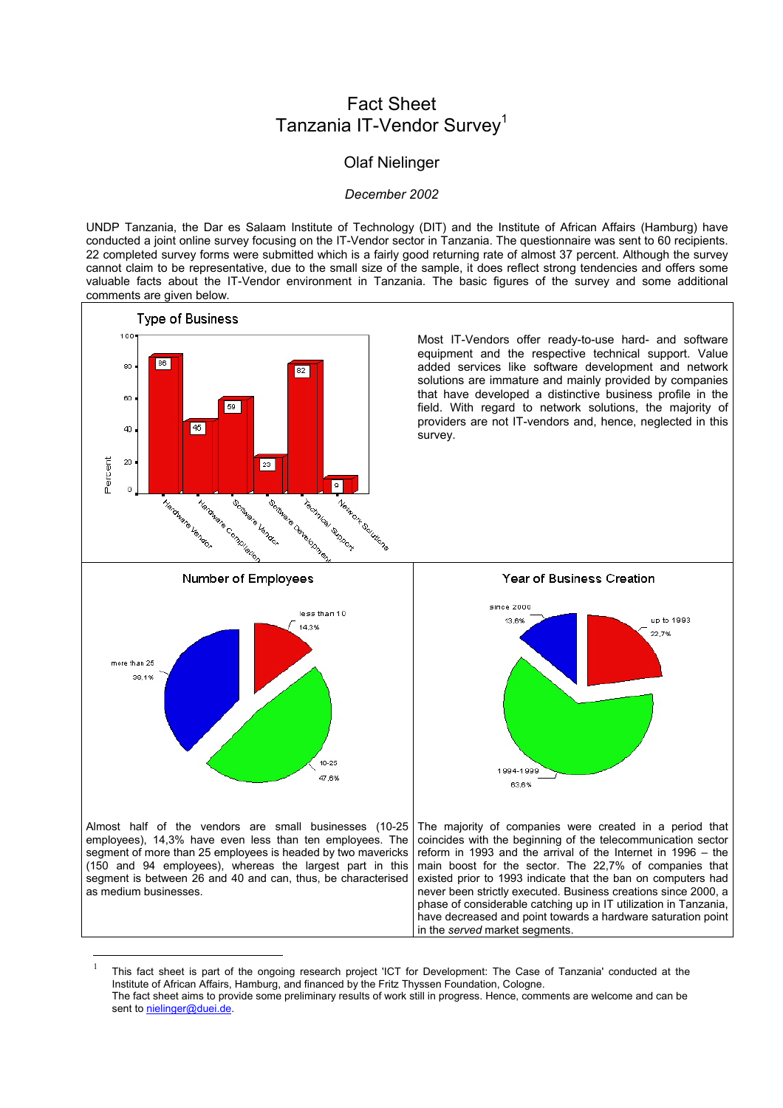## Fact Sheet Tanzania IT-Vendor Survey<sup>[1](#page-0-0)</sup>

## Olaf Nielinger

## *December 2002*

UNDP Tanzania, the Dar es Salaam Institute of Technology (DIT) and the Institute of African Affairs (Hamburg) have conducted a joint online survey focusing on the IT-Vendor sector in Tanzania. The questionnaire was sent to 60 recipients. 22 completed survey forms were submitted which is a fairly good returning rate of almost 37 percent. Although the survey cannot claim to be representative, due to the small size of the sample, it does reflect strong tendencies and offers some valuable facts about the IT-Vendor environment in Tanzania. The basic figures of the survey and some additional comments are given below.



<span id="page-0-0"></span>This fact sheet is part of the ongoing research project 'ICT for Development: The Case of Tanzania' conducted at the Institute of African Affairs, Hamburg, and financed by the Fritz Thyssen Foundation, Cologne. The fact sheet aims to provide some preliminary results of work still in progress. Hence, comments are welcome and can be

1

sent to [nielinger@duei.de.](mailto:nielinger@duei.de)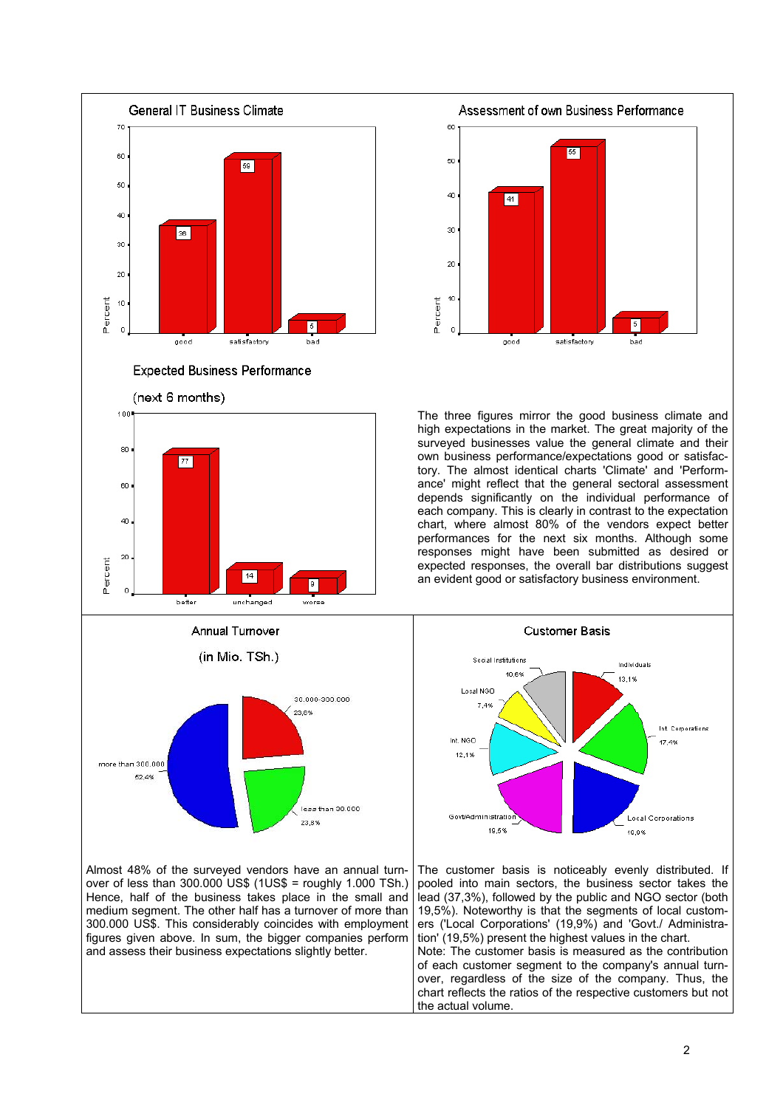

Almost 48% of the surveyed vendors have an annual turnover of less than 300.000 US\$ (1US\$ = roughly 1.000 TSh.) Hence, half of the business takes place in the small and medium segment. The other half has a turnover of more than 300.000 US\$. This considerably coincides with employment figures given above. In sum, the bigger companies perform and assess their business expectations slightly better.



The three figures mirror the good business climate and high expectations in the market. The great majority of the surveyed businesses value the general climate and their own business performance/expectations good or satisfactory. The almost identical charts 'Climate' and 'Performance' might reflect that the general sectoral assessment depends significantly on the individual performance of each company. This is clearly in contrast to the expectation chart, where almost 80% of the vendors expect better performances for the next six months. Although some responses might have been submitted as desired or expected responses, the overall bar distributions suggest an evident good or satisfactory business environment.



The customer basis is noticeably evenly distributed. If pooled into main sectors, the business sector takes the lead (37,3%), followed by the public and NGO sector (both 19,5%). Noteworthy is that the segments of local customers ('Local Corporations' (19,9%) and 'Govt./ Administration' (19,5%) present the highest values in the chart. Note: The customer basis is measured as the contribution of each customer segment to the company's annual turnover, regardless of the size of the company. Thus, the chart reflects the ratios of the respective customers but not the actual volume.